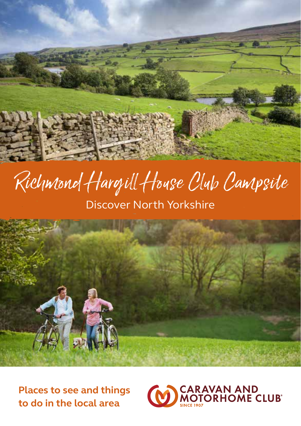

# Richmond Hargill House Club Campsite

Discover North Yorkshire



**Places to see and things to do in the local area**

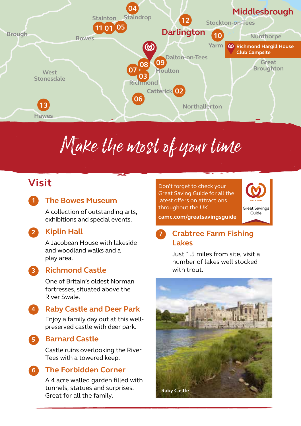

# Make the most of your time

## **Visit**

**1**

**2**

#### **The Bowes Museum**

A collection of outstanding arts, exhibitions and special events.

#### **Kiplin Hall**

A Jacobean House with lakeside and woodland walks and a play area.

**3**

**5**

#### **Richmond Castle**

One of Britain's oldest Norman fortresses, situated above the River Swale.

#### **Raby Castle and Deer Park 4**

Enjoy a family day out at this wellpreserved castle with deer park.

**Barnard Castle**

Castle ruins overlooking the River Tees with a towered keep.

#### **The Forbidden Corner 6**

A 4 acre walled garden filled with tunnels, statues and surprises. Great for all the family.

Don't forget to check your Great Saving Guide for all the latest offers on attractions throughout the UK.



**camc.com/greatsavingsguide**

#### **Crabtree Farm Fishing Lakes 7**

Just 1.5 miles from site, visit a number of lakes well stocked with trout.

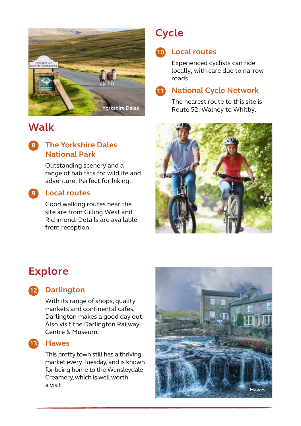

## **Walk**

#### **The Yorkshire Dales National Park 8**

Outstanding scenery and a range of habitats for wildlife and adventure. Perfect for hiking.

#### **Local routes 9**

Good walking routes near the site are from Gilling West and Richmond. Details are available from reception.

## **Cycle**

### **Local routes 10**

Experienced cyclists can ride locally, with care due to narrow roads.

#### **National Cycle Network 11**

The nearest route to this site is Route 52, Walney to Whitby.



## **Explore**

#### **12** Darlington

With its range of shops, quality markets and continental cafes, Darlington makes a good day out. Also visit the Darlington Railway Centre & Museum.

#### **Hawes 13**

This pretty town still has a thriving market every Tuesday, and is known for being home to the Wensleydale Creamery, which is well worth a visit.